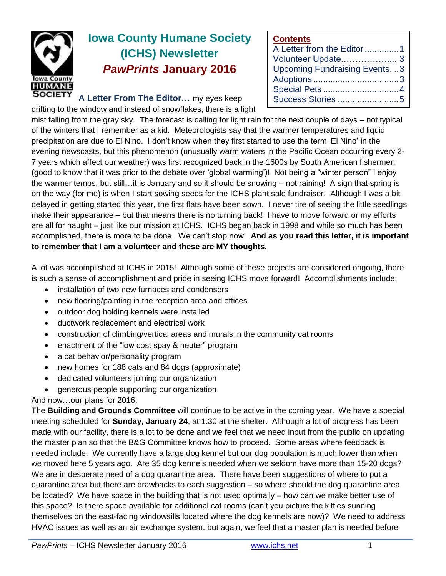

# **Iowa County Humane Society (ICHS) Newsletter** *PawPrints* **January 2016**

**A Letter From The Editor…** my eyes keep drifting to the window and instead of snowflakes, there is a light

#### **Contents**

| A Letter from the Editor1           |  |
|-------------------------------------|--|
| Volunteer Update 3                  |  |
| <b>Upcoming Fundraising Events3</b> |  |
|                                     |  |
| Special Pets4                       |  |
|                                     |  |

mist falling from the gray sky. The forecast is calling for light rain for the next couple of days – not typical of the winters that I remember as a kid. Meteorologists say that the warmer temperatures and liquid precipitation are due to El Nino. I don't know when they first started to use the term 'El Nino' in the evening newscasts, but this phenomenon (unusually warm waters in the Pacific Ocean occurring every 2- 7 years which affect our weather) was first recognized back in the 1600s by South American fishermen (good to know that it was prior to the debate over 'global warming')! Not being a "winter person" I enjoy the warmer temps, but still…it is January and so it should be snowing – not raining! A sign that spring is on the way (for me) is when I start sowing seeds for the ICHS plant sale fundraiser. Although I was a bit delayed in getting started this year, the first flats have been sown. I never tire of seeing the little seedlings make their appearance – but that means there is no turning back! I have to move forward or my efforts are all for naught – just like our mission at ICHS. ICHS began back in 1998 and while so much has been accomplished, there is more to be done. We can't stop now! **And as you read this letter, it is important to remember that I am a volunteer and these are MY thoughts.**

A lot was accomplished at ICHS in 2015! Although some of these projects are considered ongoing, there is such a sense of accomplishment and pride in seeing ICHS move forward! Accomplishments include:

- installation of two new furnaces and condensers
- new flooring/painting in the reception area and offices
- outdoor dog holding kennels were installed
- ductwork replacement and electrical work
- construction of climbing/vertical areas and murals in the community cat rooms
- enactment of the "low cost spay & neuter" program
- a cat behavior/personality program
- new homes for 188 cats and 84 dogs (approximate)
- dedicated volunteers joining our organization
- generous people supporting our organization

And now…our plans for 2016:

The **Building and Grounds Committee** will continue to be active in the coming year. We have a special meeting scheduled for **Sunday, January 24**, at 1:30 at the shelter. Although a lot of progress has been made with our facility, there is a lot to be done and we feel that we need input from the public on updating the master plan so that the B&G Committee knows how to proceed. Some areas where feedback is needed include: We currently have a large dog kennel but our dog population is much lower than when we moved here 5 years ago. Are 35 dog kennels needed when we seldom have more than 15-20 dogs? We are in desperate need of a dog quarantine area. There have been suggestions of where to put a quarantine area but there are drawbacks to each suggestion – so where should the dog quarantine area be located? We have space in the building that is not used optimally – how can we make better use of this space? Is there space available for additional cat rooms (can't you picture the kitties sunning themselves on the east-facing windowsills located where the dog kennels are now)? We need to address HVAC issues as well as an air exchange system, but again, we feel that a master plan is needed before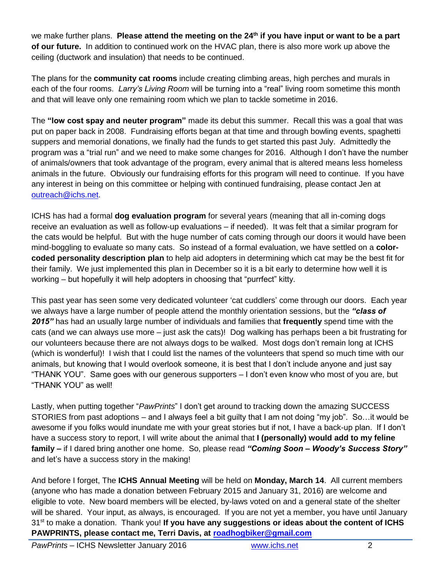we make further plans. **Please attend the meeting on the 24th if you have input or want to be a part of our future.** In addition to continued work on the HVAC plan, there is also more work up above the ceiling (ductwork and insulation) that needs to be continued.

The plans for the **community cat rooms** include creating climbing areas, high perches and murals in each of the four rooms. *Larry's Living Room* will be turning into a "real" living room sometime this month and that will leave only one remaining room which we plan to tackle sometime in 2016.

The **"low cost spay and neuter program"** made its debut this summer. Recall this was a goal that was put on paper back in 2008. Fundraising efforts began at that time and through bowling events, spaghetti suppers and memorial donations, we finally had the funds to get started this past July. Admittedly the program was a "trial run" and we need to make some changes for 2016. Although I don't have the number of animals/owners that took advantage of the program, every animal that is altered means less homeless animals in the future. Obviously our fundraising efforts for this program will need to continue. If you have any interest in being on this committee or helping with continued fundraising, please contact Jen at [outreach@ichs.net.](mailto:outreach@ichs.net)

ICHS has had a formal **dog evaluation program** for several years (meaning that all in-coming dogs receive an evaluation as well as follow-up evaluations – if needed). It was felt that a similar program for the cats would be helpful. But with the huge number of cats coming through our doors it would have been mind-boggling to evaluate so many cats. So instead of a formal evaluation, we have settled on a **colorcoded personality description plan** to help aid adopters in determining which cat may be the best fit for their family. We just implemented this plan in December so it is a bit early to determine how well it is working – but hopefully it will help adopters in choosing that "purrfect" kitty.

This past year has seen some very dedicated volunteer 'cat cuddlers' come through our doors. Each year we always have a large number of people attend the monthly orientation sessions, but the *"class of 2015"* has had an usually large number of individuals and families that **frequently** spend time with the cats (and we can always use more – just ask the cats)! Dog walking has perhaps been a bit frustrating for our volunteers because there are not always dogs to be walked. Most dogs don't remain long at ICHS (which is wonderful)! I wish that I could list the names of the volunteers that spend so much time with our animals, but knowing that I would overlook someone, it is best that I don't include anyone and just say "THANK YOU". Same goes with our generous supporters – I don't even know who most of you are, but "THANK YOU" as well!

Lastly, when putting together "*PawPrints*" I don't get around to tracking down the amazing SUCCESS STORIES from past adoptions – and I always feel a bit guilty that I am not doing "my job". So…it would be awesome if you folks would inundate me with your great stories but if not, I have a back-up plan. If I don't have a success story to report, I will write about the animal that **I (personally) would add to my feline family –** if I dared bring another one home. So, please read *"Coming Soon – Woody's Success Story"* and let's have a success story in the making!

And before I forget, The **ICHS Annual Meeting** will be held on **Monday, March 14**. All current members (anyone who has made a donation between February 2015 and January 31, 2016) are welcome and eligible to vote. New board members will be elected, by-laws voted on and a general state of the shelter will be shared. Your input, as always, is encouraged. If you are not yet a member, you have until January 31<sup>st</sup> to make a donation. Thank you! If you have any suggestions or ideas about the content of ICHS **PAWPRINTS, please contact me, Terri Davis, at [roadhogbiker@gmail.com](mailto:roadhogbiker@gmail.com)**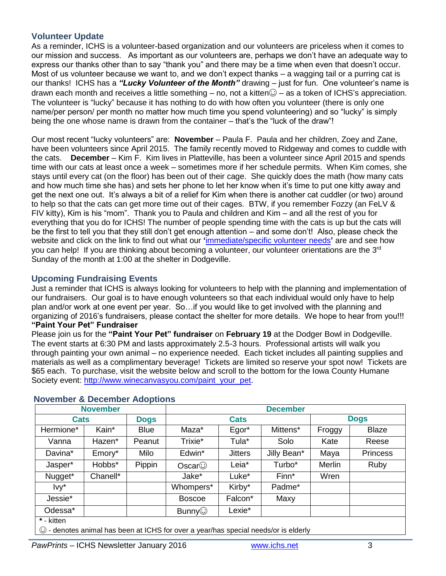### **Volunteer Update**

As a reminder, ICHS is a volunteer-based organization and our volunteers are priceless when it comes to our mission and success. As important as our volunteers are, perhaps we don't have an adequate way to express our thanks other than to say "thank you" and there may be a time when even that doesn't occur. Most of us volunteer because we want to, and we don't expect thanks – a wagging tail or a purring cat is our thanks! ICHS has a *"Lucky Volunteer of the Month"* drawing – just for fun. One volunteer's name is drawn each month and receives a little something – no, not a kitten $\odot$  – as a token of ICHS's appreciation. The volunteer is "lucky" because it has nothing to do with how often you volunteer (there is only one name/per person/ per month no matter how much time you spend volunteering) and so "lucky" is simply being the one whose name is drawn from the container – that's the "luck of the draw"!

Our most recent "lucky volunteers" are: **November** – Paula F. Paula and her children, Zoey and Zane, have been volunteers since April 2015. The family recently moved to Ridgeway and comes to cuddle with the cats. **December** – Kim F. Kim lives in Platteville, has been a volunteer since April 2015 and spends time with our cats at least once a week – sometimes more if her schedule permits. When Kim comes, she stays until every cat (on the floor) has been out of their cage. She quickly does the math (how many cats and how much time she has) and sets her phone to let her know when it's time to put one kitty away and get the next one out. It's always a bit of a relief for Kim when there is another cat cuddler (or two) around to help so that the cats can get more time out of their cages. BTW, if you remember Fozzy (an FeLV & FIV kitty), Kim is his "mom". Thank you to Paula and children and Kim – and all the rest of you for everything that you do for ICHS! The number of people spending time with the cats is up but the cats will be the first to tell you that they still don't get enough attention – and some don't! Also, please check the website and click on the link to find out what our **'**[immediate/specific volunteer needs](http://www.ichs.net/volunteer-help/volunteer/)**'** are and see how you can help! If you are thinking about becoming a volunteer, our volunteer orientations are the 3<sup>rd</sup> Sunday of the month at 1:00 at the shelter in Dodgeville.

### **Upcoming Fundraising Events**

Just a reminder that ICHS is always looking for volunteers to help with the planning and implementation of our fundraisers. Our goal is to have enough volunteers so that each individual would only have to help plan and/or work at one event per year. So…if you would like to get involved with the planning and organizing of 2016's fundraisers, please contact the shelter for more details. We hope to hear from you!!! **"Paint Your Pet" Fundraiser**

Please join us for the **"Paint Your Pet" fundraiser** on **February 19** at the Dodger Bowl in Dodgeville. The event starts at 6:30 PM and lasts approximately 2.5-3 hours. Professional artists will walk you through painting your own animal – no experience needed. Each ticket includes all painting supplies and materials as well as a complimentary beverage! Tickets are limited so reserve your spot now! Tickets are \$65 each. To purchase, visit the website below and scroll to the bottom for the Iowa County Humane Society event: [http://www.winecanvasyou.com/paint\\_your\\_pet.](http://www.winecanvasyou.com/paint_your_pet)

| <b>November</b> |             |               | <b>December</b> |             |        |                 |  |
|-----------------|-------------|---------------|-----------------|-------------|--------|-----------------|--|
| <b>Cats</b>     | <b>Dogs</b> | <b>Cats</b>   |                 | <b>Dogs</b> |        |                 |  |
| Kain*           | <b>Blue</b> | Maza*         | Egor*           | Mittens*    | Froggy | Blaze           |  |
| Hazen*          | Peanut      | Trixie*       | Tula*           | Solo        | Kate   | Reese           |  |
| Emory*          | Milo        | Edwin*        | <b>Jitters</b>  | Jilly Bean* | Maya   | <b>Princess</b> |  |
| Hobbs*          | Pippin      | Oscar         | Leia*           | Turbo*      | Merlin | Ruby            |  |
| Chanell*        |             | Jake*         | Luke*           | Finn*       | Wren   |                 |  |
|                 |             | Whompers*     | Kirby*          | Padme*      |        |                 |  |
|                 |             | <b>Boscoe</b> | Falcon*         | Maxy        |        |                 |  |
|                 |             | Bunny $\odot$ | Lexie*          |             |        |                 |  |
|                 |             |               |                 |             |        |                 |  |

#### **November & December Adoptions**

**\*** - kitten

☺ - denotes animal has been at ICHS for over a year/has special needs/or is elderly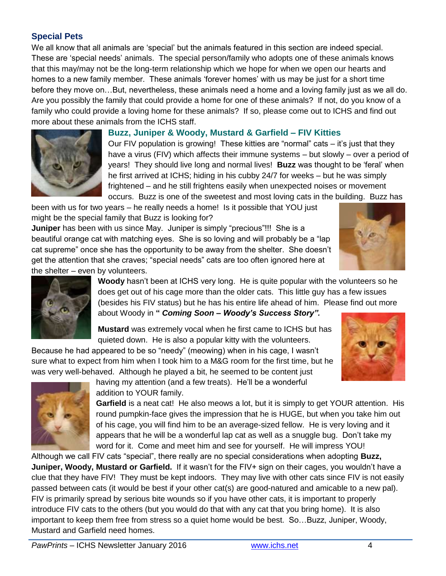## **Special Pets**

We all know that all animals are 'special' but the animals featured in this section are indeed special. These are 'special needs' animals. The special person/family who adopts one of these animals knows that this may/may not be the long-term relationship which we hope for when we open our hearts and homes to a new family member. These animals 'forever homes' with us may be just for a short time before they move on…But, nevertheless, these animals need a home and a loving family just as we all do. Are you possibly the family that could provide a home for one of these animals? If not, do you know of a family who could provide a loving home for these animals? If so, please come out to ICHS and find out more about these animals from the ICHS staff.



#### **Buzz, Juniper & Woody, Mustard & Garfield – FIV Kitties**

Our FIV population is growing! These kitties are "normal" cats – it's just that they have a virus (FIV) which affects their immune systems – but slowly – over a period of years! They should live long and normal lives! **Buzz** was thought to be 'feral' when he first arrived at ICHS; hiding in his cubby 24/7 for weeks – but he was simply frightened – and he still frightens easily when unexpected noises or movement occurs. Buzz is one of the sweetest and most loving cats in the building. Buzz has

been with us for two years – he really needs a home! Is it possible that YOU just might be the special family that Buzz is looking for?

**Juniper** has been with us since May. Juniper is simply "precious"!!! She is a beautiful orange cat with matching eyes. She is so loving and will probably be a "lap cat supreme" once she has the opportunity to be away from the shelter. She doesn't get the attention that she craves; "special needs" cats are too often ignored here at the shelter – even by volunteers.





**Woody** hasn't been at ICHS very long. He is quite popular with the volunteers so he does get out of his cage more than the older cats. This little guy has a few issues (besides his FIV status) but he has his entire life ahead of him. Please find out more about Woody in **"** *Coming Soon – Woody's Success Story".*

**Mustard** was extremely vocal when he first came to ICHS but has quieted down. He is also a popular kitty with the volunteers.

Because he had appeared to be so "needy" (meowing) when in his cage, I wasn't sure what to expect from him when I took him to a M&G room for the first time, but he was very well-behaved. Although he played a bit, he seemed to be content just





having my attention (and a few treats). He'll be a wonderful addition to YOUR family.

**Garfield** is a neat cat! He also meows a lot, but it is simply to get YOUR attention. His round pumpkin-face gives the impression that he is HUGE, but when you take him out of his cage, you will find him to be an average-sized fellow. He is very loving and it appears that he will be a wonderful lap cat as well as a snuggle bug. Don't take my word for it. Come and meet him and see for yourself. He will impress YOU!

Although we call FIV cats "special", there really are no special considerations when adopting **Buzz, Juniper, Woody, Mustard or Garfield.** If it wasn't for the FIV+ sign on their cages, you wouldn't have a clue that they have FIV! They must be kept indoors. They may live with other cats since FIV is not easily passed between cats (it would be best if your other cat(s) are good-natured and amicable to a new pal). FIV is primarily spread by serious bite wounds so if you have other cats, it is important to properly introduce FIV cats to the others (but you would do that with any cat that you bring home). It is also important to keep them free from stress so a quiet home would be best. So…Buzz, Juniper, Woody, Mustard and Garfield need homes.